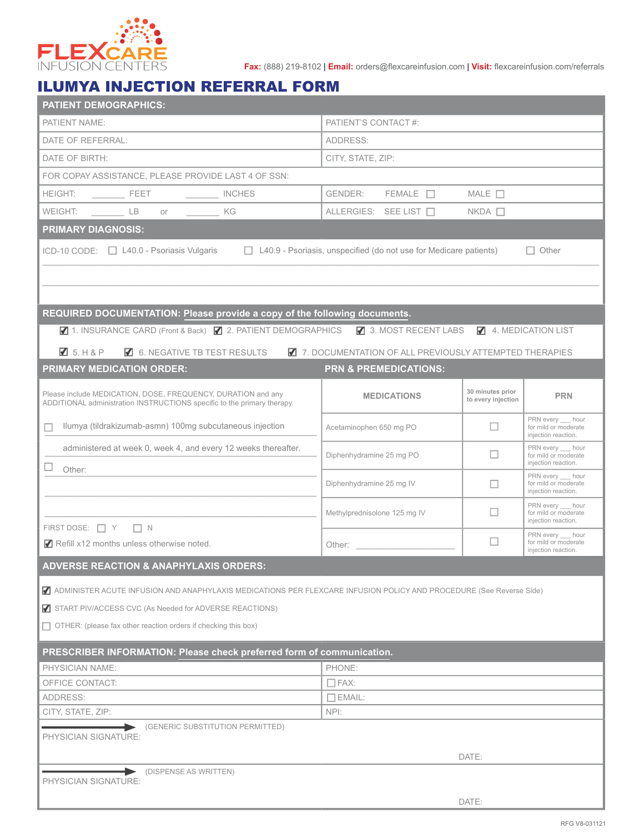

**Fax:** (888) 219-8102 | **Email:** orders@flexcareinfusion.com | **Visit:** flexcareinfusion.com/referrals

## ILUMYA INJECTION REFERRAL FORM

| <b>PATIENT DEMOGRAPHICS:</b>                                                                                                            |                                                                                                                                                                                                                                |                                        |                                                                  |  |  |  |
|-----------------------------------------------------------------------------------------------------------------------------------------|--------------------------------------------------------------------------------------------------------------------------------------------------------------------------------------------------------------------------------|----------------------------------------|------------------------------------------------------------------|--|--|--|
| PATIENT NAME:                                                                                                                           | PATIENT'S CONTACT #:                                                                                                                                                                                                           |                                        |                                                                  |  |  |  |
| DATE OF REFERRAL:                                                                                                                       | ADDRESS:                                                                                                                                                                                                                       |                                        |                                                                  |  |  |  |
| DATE OF BIRTH:                                                                                                                          | CITY, STATE, ZIP:                                                                                                                                                                                                              |                                        |                                                                  |  |  |  |
| FOR COPAY ASSISTANCE, PLEASE PROVIDE LAST 4 OF SSN:                                                                                     |                                                                                                                                                                                                                                |                                        |                                                                  |  |  |  |
| <b>HEIGHT:</b><br><b>EXAMPLE SECT RESET ASSESSED ASSESS</b>                                                                             | $FEMALE$ $\Box$<br>GENDER:                                                                                                                                                                                                     | $MALE$ $\square$                       |                                                                  |  |  |  |
| WEIGHT: LB<br>KG KG<br>or or                                                                                                            | ALLERGIES: SEE LIST □                                                                                                                                                                                                          | $NKDA$ $\Box$                          |                                                                  |  |  |  |
| <b>PRIMARY DIAGNOSIS:</b>                                                                                                               |                                                                                                                                                                                                                                |                                        |                                                                  |  |  |  |
| ICD-10 CODE: □ L40.0 - Psoriasis Vulgaris                                                                                               | $\Box$ L40.9 - Psoriasis, unspecified (do not use for Medicare patients)                                                                                                                                                       |                                        | $\Box$ Other                                                     |  |  |  |
|                                                                                                                                         |                                                                                                                                                                                                                                |                                        |                                                                  |  |  |  |
|                                                                                                                                         |                                                                                                                                                                                                                                |                                        |                                                                  |  |  |  |
|                                                                                                                                         |                                                                                                                                                                                                                                |                                        |                                                                  |  |  |  |
| REQUIRED DOCUMENTATION: Please provide a copy of the following documents.                                                               |                                                                                                                                                                                                                                |                                        |                                                                  |  |  |  |
| ■ 1. INSURANCE CARD (Front & Back) ■ 2. PATIENT DEMOGRAPHICS ■ 3. MOST RECENT LABS                                                      |                                                                                                                                                                                                                                |                                        | 4. MEDICATION LIST                                               |  |  |  |
| $\blacksquare$ 5. H & P<br>6. NEGATIVE TB TEST RESULTS                                                                                  | 7. DOCUMENTATION OF ALL PREVIOUSLY ATTEMPTED THERAPIES                                                                                                                                                                         |                                        |                                                                  |  |  |  |
| <b>PRIMARY MEDICATION ORDER:</b>                                                                                                        | <b>PRN &amp; PREMEDICATIONS:</b>                                                                                                                                                                                               |                                        |                                                                  |  |  |  |
| Please include MEDICATION, DOSE, FREQUENCY, DURATION and any<br>ADDITIONAL administration INSTRUCTIONS specific to the primary therapy. | <b>MEDICATIONS</b>                                                                                                                                                                                                             | 30 minutes prior<br>to every injection | <b>PRN</b>                                                       |  |  |  |
| Ilumya (tildrakizumab-asmn) 100mg subcutaneous injection<br>П                                                                           | Acetaminophen 650 mg PO                                                                                                                                                                                                        | u                                      | PRN every hour<br>for mild or moderate<br>injection reaction.    |  |  |  |
| administered at week 0, week 4, and every 12 weeks thereafter.                                                                          | Diphenhydramine 25 mg PO                                                                                                                                                                                                       | ш                                      | PRN every hour<br>for mild or moderate                           |  |  |  |
| Other:                                                                                                                                  |                                                                                                                                                                                                                                |                                        | injection reaction.<br>PRN every __ hour                         |  |  |  |
|                                                                                                                                         | Diphenhydramine 25 mg IV                                                                                                                                                                                                       | $\Box$                                 | for mild or moderate<br>injection reaction.                      |  |  |  |
|                                                                                                                                         | Methylprednisolone 125 mg IV                                                                                                                                                                                                   | H                                      | PRN every __ hour<br>for mild or moderate<br>injection reaction. |  |  |  |
| FIRST DOSE: $\Box Y$ $\Box N$                                                                                                           |                                                                                                                                                                                                                                | П                                      | PRN every hour                                                   |  |  |  |
| Refill x12 months unless otherwise noted.                                                                                               | Other: and the state of the state of the state of the state of the state of the state of the state of the state of the state of the state of the state of the state of the state of the state of the state of the state of the |                                        | for mild or moderate<br>injection reaction.                      |  |  |  |
| <b>ADVERSE REACTION &amp; ANAPHYLAXIS ORDERS:</b>                                                                                       |                                                                                                                                                                                                                                |                                        |                                                                  |  |  |  |
| ADMINISTER ACUTE INFUSION AND ANAPHYLAXIS MEDICATIONS PER FLEXCARE INFUSION POLICY AND PROCEDURE (See Reverse Side)                     |                                                                                                                                                                                                                                |                                        |                                                                  |  |  |  |
| START PIV/ACCESS CVC (As Needed for ADVERSE REACTIONS)                                                                                  |                                                                                                                                                                                                                                |                                        |                                                                  |  |  |  |
| $\Box$ OTHER: (please fax other reaction orders if checking this box)                                                                   |                                                                                                                                                                                                                                |                                        |                                                                  |  |  |  |
|                                                                                                                                         |                                                                                                                                                                                                                                |                                        |                                                                  |  |  |  |
| PRESCRIBER INFORMATION: Please check preferred form of communication.                                                                   |                                                                                                                                                                                                                                |                                        |                                                                  |  |  |  |
| PHYSICIAN NAME:<br>OFFICE CONTACT:                                                                                                      | PHONE:<br>$\Box$ FAX:                                                                                                                                                                                                          |                                        |                                                                  |  |  |  |
| ADDRESS:                                                                                                                                | $\Box$ EMAIL:                                                                                                                                                                                                                  |                                        |                                                                  |  |  |  |
| CITY, STATE, ZIP:                                                                                                                       | NPI:                                                                                                                                                                                                                           |                                        |                                                                  |  |  |  |
| (GENERIC SUBSTITUTION PERMITTED)                                                                                                        |                                                                                                                                                                                                                                |                                        |                                                                  |  |  |  |
| PHYSICIAN SIGNATURE:                                                                                                                    |                                                                                                                                                                                                                                |                                        |                                                                  |  |  |  |
|                                                                                                                                         |                                                                                                                                                                                                                                | DATE:                                  |                                                                  |  |  |  |
| (DISPENSE AS WRITTEN)<br>PHYSICIAN SIGNATURE:                                                                                           |                                                                                                                                                                                                                                |                                        |                                                                  |  |  |  |
|                                                                                                                                         |                                                                                                                                                                                                                                | DATE:                                  |                                                                  |  |  |  |
|                                                                                                                                         |                                                                                                                                                                                                                                |                                        |                                                                  |  |  |  |